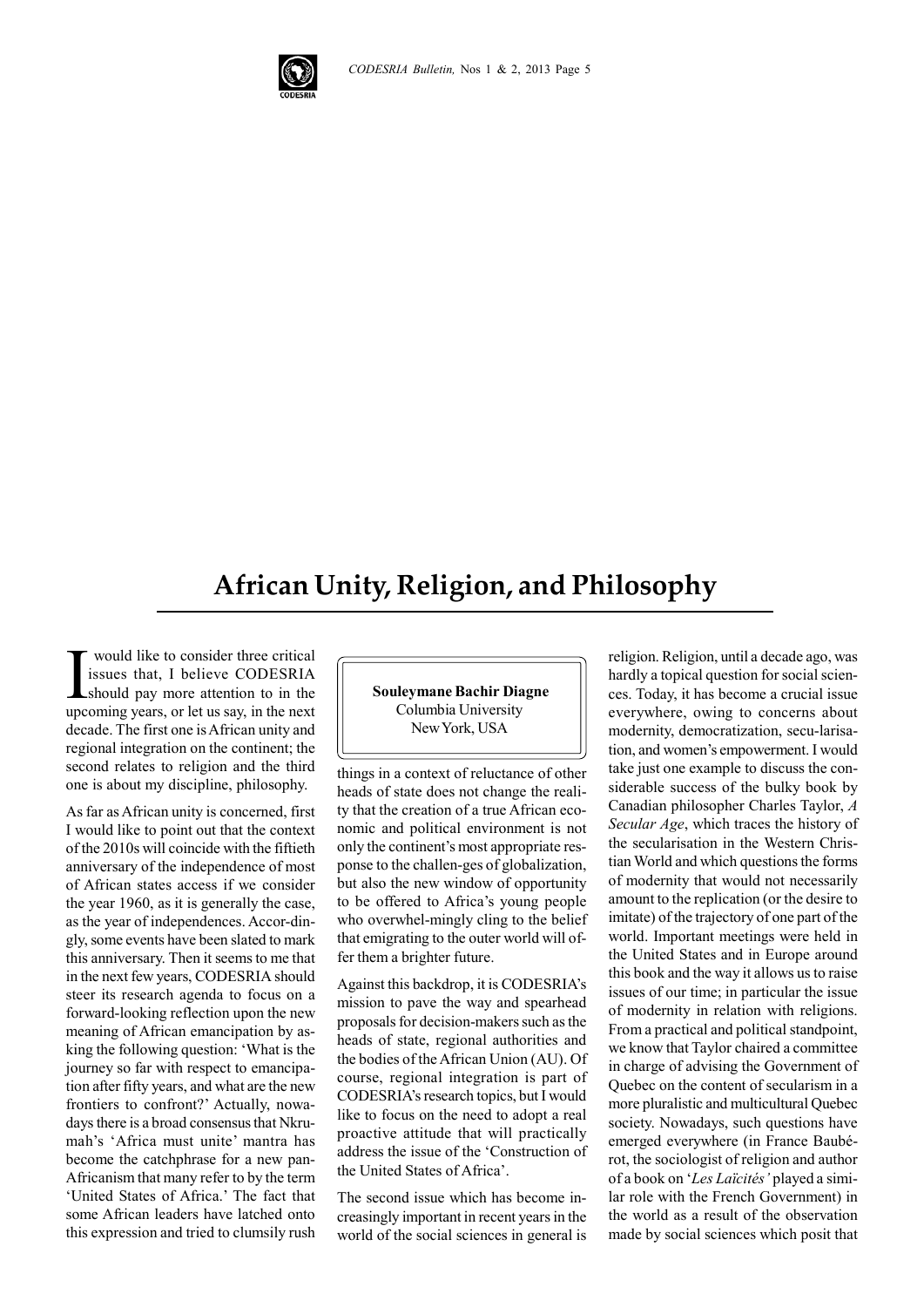

## **African Unity, Religion, and Philosophy**

I would like to consider three critical issues that, I believe CODESRIA should pay more attention to in the upcoming years, or let us say, in the next decade. The first one is African unity and regional integration on the continent; the second relates to religion and the third one is about my discipline, philosophy.

As far as African unity is concerned, first I would like to point out that the context of the 2010s will coincide with the fiftieth anniversary of the independence of most of African states access if we consider the year 1960, as it is generally the case, as the year of independences. Accor-dingly, some events have been slated to mark this anniversary. Then it seems to me that in the next few years, CODESRIA should steer its research agenda to focus on a forward-looking reflection upon the new meaning of African emancipation by asking the following question: 'What is the journey so far with respect to emancipation after fifty years, and what are the new frontiers to confront?' Actually, nowadays there is a broad consensus that Nkrumah's 'Africa must unite' mantra has become the catchphrase for a new pan-Africanism that many refer to by the term 'United States of Africa.' The fact that some African leaders have latched onto this expression and tried to clumsily rush  **Souleymane Bachir Diagne** Columbia University New York, USA

things in a context of reluctance of other heads of state does not change the reality that the creation of a true African economic and political environment is not only the continent's most appropriate response to the challen-ges of globalization, but also the new window of opportunity to be offered to Africa's young people who overwhel-mingly cling to the belief that emigrating to the outer world will offer them a brighter future.

Against this backdrop, it is CODESRIA's mission to pave the way and spearhead proposals for decision-makers such as the heads of state, regional authorities and the bodies of the African Union (AU). Of course, regional integration is part of CODESRIA's research topics, but I would like to focus on the need to adopt a real proactive attitude that will practically address the issue of the 'Construction of the United States of Africa'.

The second issue which has become increasingly important in recent years in the world of the social sciences in general is religion. Religion, until a decade ago, was hardly a topical question for social sciences. Today, it has become a crucial issue everywhere, owing to concerns about modernity, democratization, secu-larisation, and women's empowerment. I would take just one example to discuss the considerable success of the bulky book by Canadian philosopher Charles Taylor, *A Secular Age*, which traces the history of the secularisation in the Western Christian World and which questions the forms of modernity that would not necessarily amount to the replication (or the desire to imitate) of the trajectory of one part of the world. Important meetings were held in the United States and in Europe around this book and the way it allows us to raise issues of our time; in particular the issue of modernity in relation with religions. From a practical and political standpoint, we know that Taylor chaired a committee in charge of advising the Government of Quebec on the content of secularism in a more pluralistic and multicultural Quebec society. Nowadays, such questions have emerged everywhere (in France Baubérot, the sociologist of religion and author of a book on '*Les Laïcités'* played a similar role with the French Government) in the world as a result of the observation made by social sciences which posit that